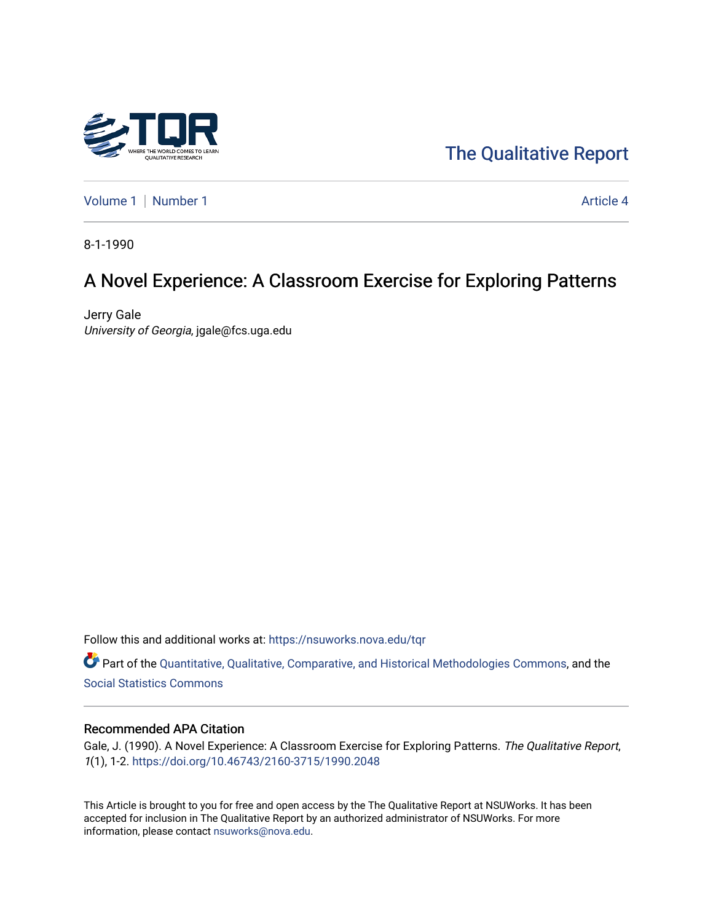

# [The Qualitative Report](https://nsuworks.nova.edu/tqr)

[Volume 1](https://nsuworks.nova.edu/tqr/vol1) | [Number 1](https://nsuworks.nova.edu/tqr/vol1/iss1) Article 4

8-1-1990

# A Novel Experience: A Classroom Exercise for Exploring Patterns

Jerry Gale University of Georgia, jgale@fcs.uga.edu

Follow this and additional works at: [https://nsuworks.nova.edu/tqr](https://nsuworks.nova.edu/tqr?utm_source=nsuworks.nova.edu%2Ftqr%2Fvol1%2Fiss1%2F4&utm_medium=PDF&utm_campaign=PDFCoverPages) 

Part of the [Quantitative, Qualitative, Comparative, and Historical Methodologies Commons,](http://network.bepress.com/hgg/discipline/423?utm_source=nsuworks.nova.edu%2Ftqr%2Fvol1%2Fiss1%2F4&utm_medium=PDF&utm_campaign=PDFCoverPages) and the [Social Statistics Commons](http://network.bepress.com/hgg/discipline/1275?utm_source=nsuworks.nova.edu%2Ftqr%2Fvol1%2Fiss1%2F4&utm_medium=PDF&utm_campaign=PDFCoverPages) 

#### Recommended APA Citation

Gale, J. (1990). A Novel Experience: A Classroom Exercise for Exploring Patterns. The Qualitative Report, 1(1), 1-2. <https://doi.org/10.46743/2160-3715/1990.2048>

This Article is brought to you for free and open access by the The Qualitative Report at NSUWorks. It has been accepted for inclusion in The Qualitative Report by an authorized administrator of NSUWorks. For more information, please contact [nsuworks@nova.edu.](mailto:nsuworks@nova.edu)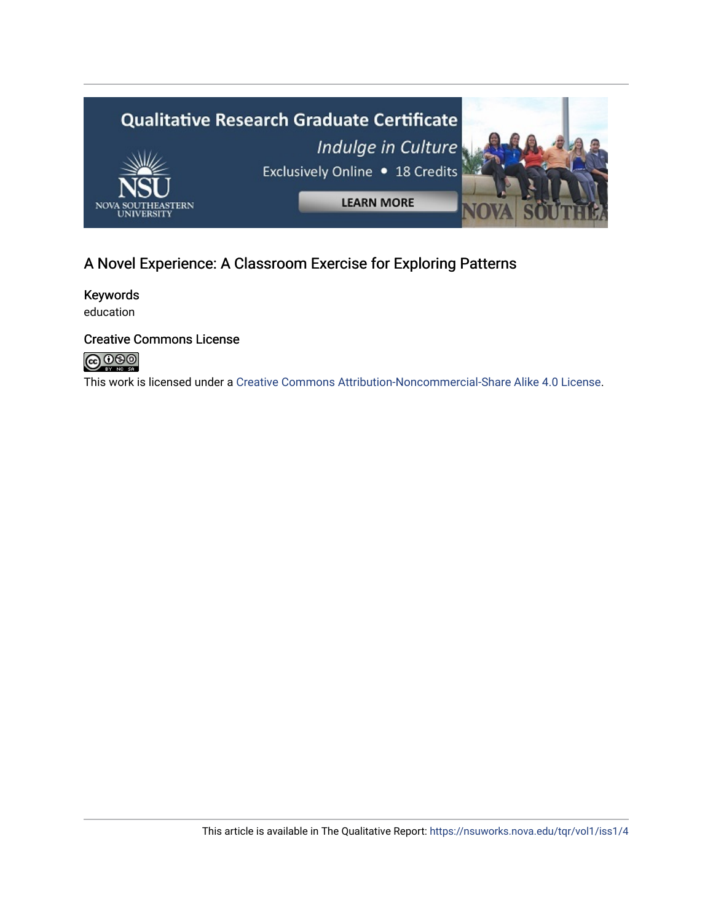

## A Novel Experience: A Classroom Exercise for Exploring Patterns

Keywords education

### Creative Commons License



This work is licensed under a [Creative Commons Attribution-Noncommercial-Share Alike 4.0 License](https://creativecommons.org/licenses/by-nc-sa/4.0/).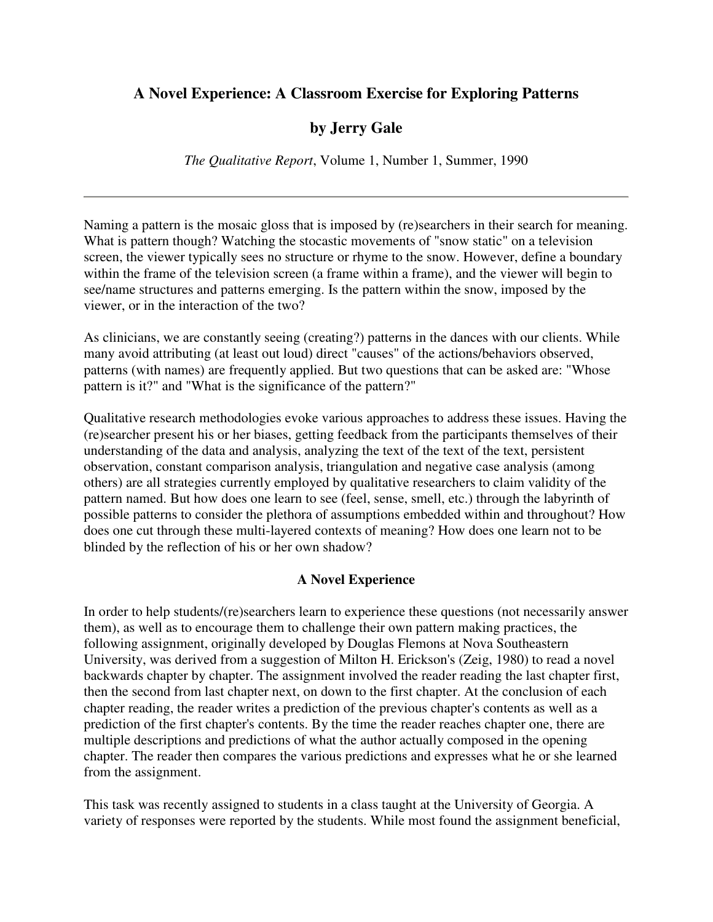### **A Novel Experience: A Classroom Exercise for Exploring Patterns**

## **by Jerry Gale**

*The Qualitative Report*, Volume 1, Number 1, Summer, 1990

Naming a pattern is the mosaic gloss that is imposed by (re)searchers in their search for meaning. What is pattern though? Watching the stocastic movements of "snow static" on a television screen, the viewer typically sees no structure or rhyme to the snow. However, define a boundary within the frame of the television screen (a frame within a frame), and the viewer will begin to see/name structures and patterns emerging. Is the pattern within the snow, imposed by the viewer, or in the interaction of the two?

As clinicians, we are constantly seeing (creating?) patterns in the dances with our clients. While many avoid attributing (at least out loud) direct "causes" of the actions/behaviors observed, patterns (with names) are frequently applied. But two questions that can be asked are: "Whose pattern is it?" and "What is the significance of the pattern?"

Qualitative research methodologies evoke various approaches to address these issues. Having the (re)searcher present his or her biases, getting feedback from the participants themselves of their understanding of the data and analysis, analyzing the text of the text of the text, persistent observation, constant comparison analysis, triangulation and negative case analysis (among others) are all strategies currently employed by qualitative researchers to claim validity of the pattern named. But how does one learn to see (feel, sense, smell, etc.) through the labyrinth of possible patterns to consider the plethora of assumptions embedded within and throughout? How does one cut through these multi-layered contexts of meaning? How does one learn not to be blinded by the reflection of his or her own shadow?

#### **A Novel Experience**

In order to help students/(re)searchers learn to experience these questions (not necessarily answer them), as well as to encourage them to challenge their own pattern making practices, the following assignment, originally developed by Douglas Flemons at Nova Southeastern University, was derived from a suggestion of Milton H. Erickson's (Zeig, 1980) to read a novel backwards chapter by chapter. The assignment involved the reader reading the last chapter first, then the second from last chapter next, on down to the first chapter. At the conclusion of each chapter reading, the reader writes a prediction of the previous chapter's contents as well as a prediction of the first chapter's contents. By the time the reader reaches chapter one, there are multiple descriptions and predictions of what the author actually composed in the opening chapter. The reader then compares the various predictions and expresses what he or she learned from the assignment.

This task was recently assigned to students in a class taught at the University of Georgia. A variety of responses were reported by the students. While most found the assignment beneficial,